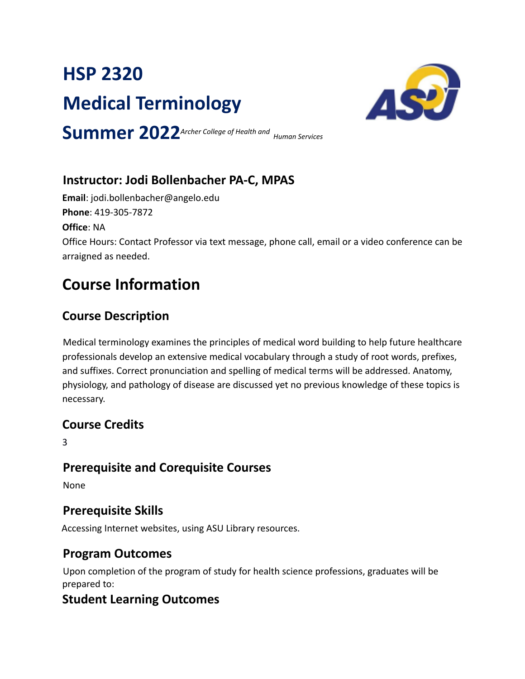# **HSP 2320 Medical Terminology**



**Summer 2022***Archer College of Health and Human Services*

## **Instructor: Jodi Bollenbacher PA-C, MPAS**

**Email**: jodi.bollenbacher@angelo.edu **Phone**: 419-305-7872

**Office**: NA

Office Hours: Contact Professor via text message, phone call, email or a video conference can be arraigned as needed.

## **Course Information**

## **Course Description**

Medical terminology examines the principles of medical word building to help future healthcare professionals develop an extensive medical vocabulary through a study of root words, prefixes, and suffixes. Correct pronunciation and spelling of medical terms will be addressed. Anatomy, physiology, and pathology of disease are discussed yet no previous knowledge of these topics is necessary.

## **Course Credits**

3

## **Prerequisite and Corequisite Courses**

None

## **Prerequisite Skills**

Accessing Internet websites, using ASU Library resources.

## **Program Outcomes**

Upon completion of the program of study for health science professions, graduates will be prepared to:

## **Student Learning Outcomes**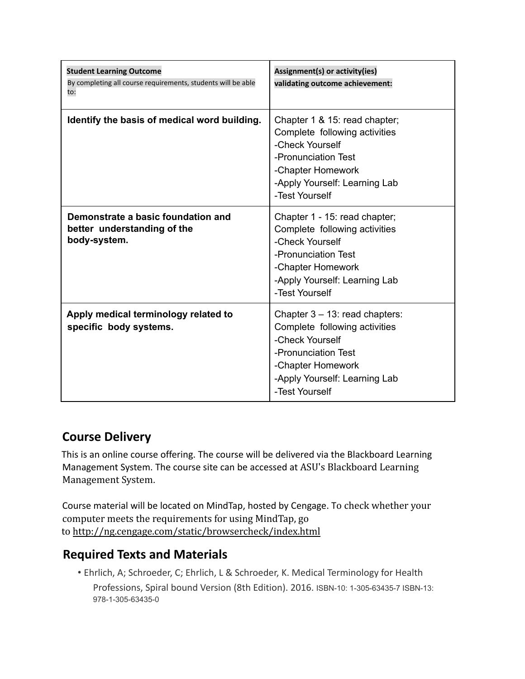| <b>Student Learning Outcome</b><br>By completing all course requirements, students will be able<br>to: | Assignment(s) or activity(ies)<br>validating outcome achievement:                                                                                                                    |
|--------------------------------------------------------------------------------------------------------|--------------------------------------------------------------------------------------------------------------------------------------------------------------------------------------|
| Identify the basis of medical word building.                                                           | Chapter 1 & 15: read chapter;<br>Complete following activities<br>-Check Yourself<br>-Pronunciation Test<br>-Chapter Homework<br>-Apply Yourself: Learning Lab<br>-Test Yourself     |
| Demonstrate a basic foundation and<br>better understanding of the<br>body-system.                      | Chapter 1 - 15: read chapter;<br>Complete following activities<br>-Check Yourself<br>-Pronunciation Test<br>-Chapter Homework<br>-Apply Yourself: Learning Lab<br>-Test Yourself     |
| Apply medical terminology related to<br>specific body systems.                                         | Chapter $3 - 13$ : read chapters:<br>Complete following activities<br>-Check Yourself<br>-Pronunciation Test<br>-Chapter Homework<br>-Apply Yourself: Learning Lab<br>-Test Yourself |

## **Course Delivery**

This is an online course offering. The course will be delivered via the Blackboard Learning Management System. The course site can be accessed at ASU's Blackboard Learning Management System.

Course material will be located on MindTap, hosted by Cengage. To check whether your computer meets the requirements for using MindTap, go to http://ng.cengage.com/static/browsercheck/index.html

### **Required Texts and Materials**

• Ehrlich, A; Schroeder, C; Ehrlich, L & Schroeder, K. Medical Terminology for Health Professions, Spiral bound Version (8th Edition). 2016. ISBN-10: 1-305-63435-7 ISBN-13: 978-1-305-63435-0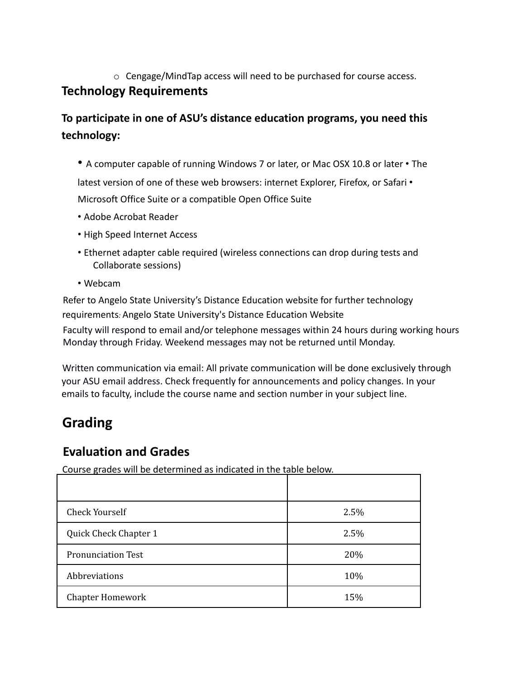o Cengage/MindTap access will need to be purchased for course access.

## **Technology Requirements**

## **To participate in one of ASU's distance education programs, you need this technology:**

- A computer capable of running Windows 7 or later, or Mac OSX 10.8 or later The latest version of one of these web browsers: internet Explorer, Firefox, or Safari • Microsoft Office Suite or a compatible Open Office Suite
- Adobe Acrobat Reader
- High Speed Internet Access
- Ethernet adapter cable required (wireless connections can drop during tests and Collaborate sessions)
- Webcam

Refer to Angelo State University's Distance Education website for further technology requirements*:* Angelo State University's Distance Education Website

Faculty will respond to email and/or telephone messages within 24 hours during working hours Monday through Friday. Weekend messages may not be returned until Monday.

Written communication via email: All private communication will be done exclusively through your ASU email address. Check frequently for announcements and policy changes. In your emails to faculty, include the course name and section number in your subject line.

## **Grading**

## **Evaluation and Grades**

Course grades will be determined as indicated in the table below.

| Check Yourself            | 2.5% |
|---------------------------|------|
| Quick Check Chapter 1     | 2.5% |
| <b>Pronunciation Test</b> | 20%  |
| Abbreviations             | 10%  |
| <b>Chapter Homework</b>   | 15%  |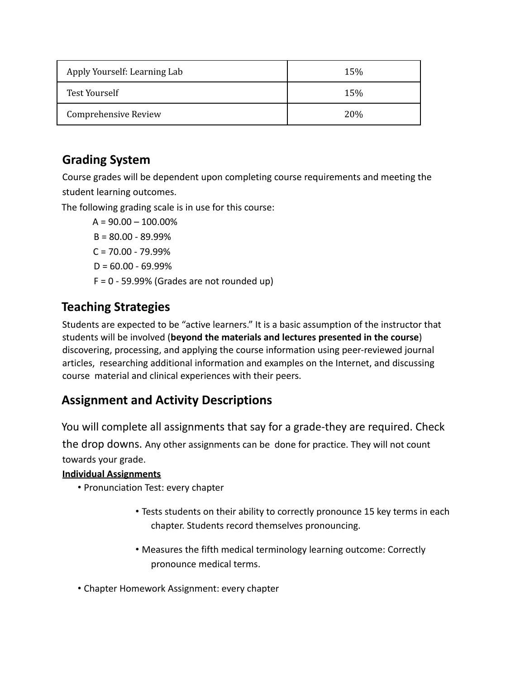| Apply Yourself: Learning Lab | 15%  |
|------------------------------|------|
| Test Yourself                | 15%  |
| Comprehensive Review         | 20\% |

## **Grading System**

Course grades will be dependent upon completing course requirements and meeting the student learning outcomes.

The following grading scale is in use for this course:

 $A = 90.00 - 100.00%$  $B = 80.00 - 89.99%$  $C = 70.00 - 79.99\%$  $D = 60.00 - 69.99%$  $F = 0 - 59.99%$  (Grades are not rounded up)

## **Teaching Strategies**

Students are expected to be "active learners." It is a basic assumption of the instructor that students will be involved (**beyond the materials and lectures presented in the course**) discovering, processing, and applying the course information using peer-reviewed journal articles, researching additional information and examples on the Internet, and discussing course material and clinical experiences with their peers.

### **Assignment and Activity Descriptions**

You will complete all assignments that say for a grade-they are required. Check the drop downs. Any other assignments can be done for practice. They will not count towards your grade.

#### **Individual Assignments**

- Pronunciation Test: every chapter
	- Tests students on their ability to correctly pronounce 15 key terms in each chapter. Students record themselves pronouncing.
	- Measures the fifth medical terminology learning outcome: Correctly pronounce medical terms.
- Chapter Homework Assignment: every chapter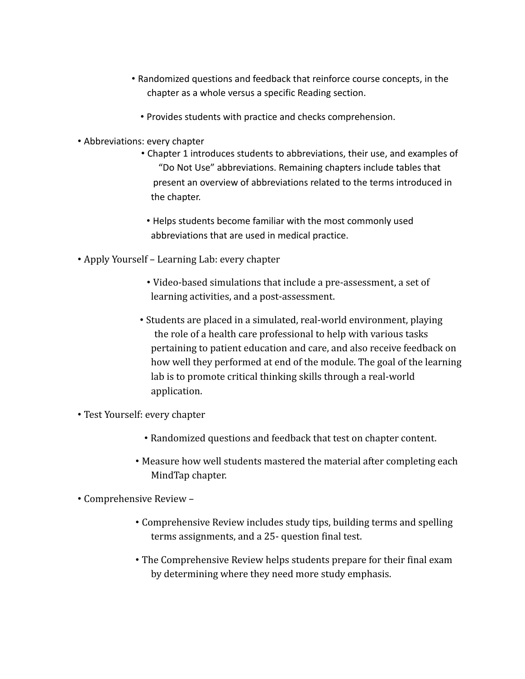- Randomized questions and feedback that reinforce course concepts, in the chapter as a whole versus a specific Reading section.
	- Provides students with practice and checks comprehension.
- Abbreviations: every chapter
	- Chapter 1 introduces students to abbreviations, their use, and examples of "Do Not Use" abbreviations. Remaining chapters include tables that present an overview of abbreviations related to the terms introduced in the chapter.
	- Helps students become familiar with the most commonly used abbreviations that are used in medical practice.
- Apply Yourself Learning Lab: every chapter
	- Video-based simulations that include a pre-assessment, a set of learning activities, and a post-assessment.
	- Students are placed in a simulated, real-world environment, playing the role of a health care professional to help with various tasks pertaining to patient education and care, and also receive feedback on how well they performed at end of the module. The goal of the learning lab is to promote critical thinking skills through a real-world application.
- Test Yourself: every chapter
	- Randomized questions and feedback that test on chapter content.
	- Measure how well students mastered the material after completing each MindTap chapter.
- Comprehensive Review
	- Comprehensive Review includes study tips, building terms and spelling terms assignments, and a 25- question final test.
	- The Comprehensive Review helps students prepare for their final exam by determining where they need more study emphasis.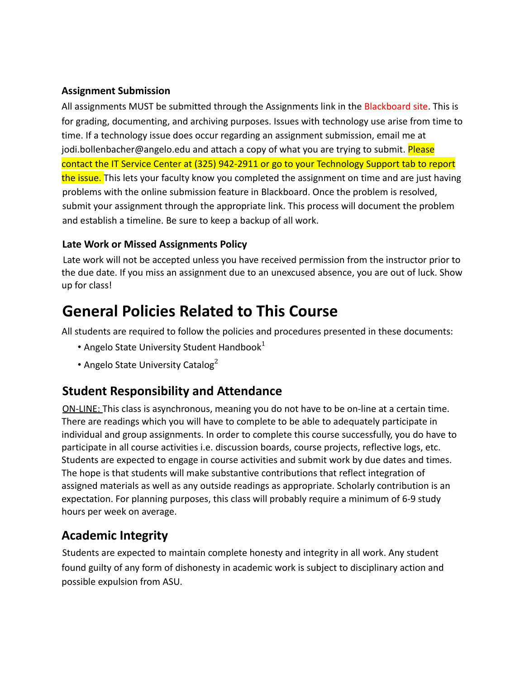#### **Assignment Submission**

All assignments MUST be submitted through the Assignments link in the Blackboard site. This is for grading, documenting, and archiving purposes. Issues with technology use arise from time to time. If a technology issue does occur regarding an assignment submission, email me at jodi.bollenbacher@angelo.edu and attach a copy of what you are trying to submit. Please contact the IT Service Center at (325) 942-2911 or go to your Technology Support tab to report the issue. This lets your faculty know you completed the assignment on time and are just having problems with the online submission feature in Blackboard. Once the problem is resolved, submit your assignment through the appropriate link. This process will document the problem and establish a timeline. Be sure to keep a backup of all work.

#### **Late Work or Missed Assignments Policy**

Late work will not be accepted unless you have received permission from the instructor prior to the due date. If you miss an assignment due to an unexcused absence, you are out of luck. Show up for class!

## **General Policies Related to This Course**

All students are required to follow the policies and procedures presented in these documents:

- Angelo State University Student Handbook $^1$
- Angelo State University Catalog $2$

### **Student Responsibility and Attendance**

ON-LINE: This class is asynchronous, meaning you do not have to be on-line at a certain time. There are readings which you will have to complete to be able to adequately participate in individual and group assignments. In order to complete this course successfully, you do have to participate in all course activities i.e. discussion boards, course projects, reflective logs, etc. Students are expected to engage in course activities and submit work by due dates and times. The hope is that students will make substantive contributions that reflect integration of assigned materials as well as any outside readings as appropriate. Scholarly contribution is an expectation. For planning purposes, this class will probably require a minimum of 6-9 study hours per week on average.

## **Academic Integrity**

Students are expected to maintain complete honesty and integrity in all work. Any student found guilty of any form of dishonesty in academic work is subject to disciplinary action and possible expulsion from ASU.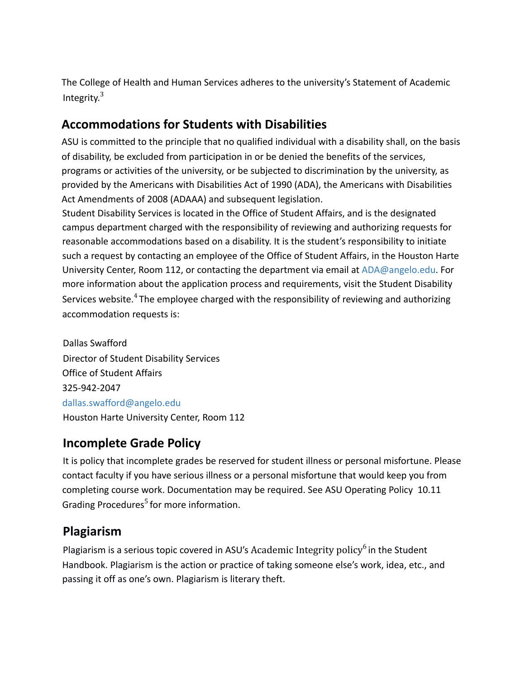The College of Health and Human Services adheres to the university's Statement of Academic Integrity.<sup>3</sup>

## **Accommodations for Students with Disabilities**

ASU is committed to the principle that no qualified individual with a disability shall, on the basis of disability, be excluded from participation in or be denied the benefits of the services, programs or activities of the university, or be subjected to discrimination by the university, as provided by the Americans with Disabilities Act of 1990 (ADA), the Americans with Disabilities Act Amendments of 2008 (ADAAA) and subsequent legislation.

Student Disability Services is located in the Office of Student Affairs, and is the designated campus department charged with the responsibility of reviewing and authorizing requests for reasonable accommodations based on a disability. It is the student's responsibility to initiate such a request by contacting an employee of the Office of Student Affairs, in the Houston Harte University Center, Room 112, or contacting the department via email at ADA@angelo.edu. For more information about the application process and requirements, visit the Student Disability Services website.<sup>4</sup> The employee charged with the responsibility of reviewing and authorizing accommodation requests is:

Dallas Swafford Director of Student Disability Services Office of Student Affairs 325-942-2047 dallas.swafford@angelo.edu Houston Harte University Center, Room 112

### **Incomplete Grade Policy**

It is policy that incomplete grades be reserved for student illness or personal misfortune. Please contact faculty if you have serious illness or a personal misfortune that would keep you from completing course work. Documentation may be required. See ASU Operating Policy 10.11 Grading Procedures<sup>5</sup> for more information.

## **Plagiarism**

Plagiarism is a serious topic covered in ASU's Academic Integrity policy<sup>6</sup> in the Student Handbook. Plagiarism is the action or practice of taking someone else's work, idea, etc., and passing it off as one's own. Plagiarism is literary theft.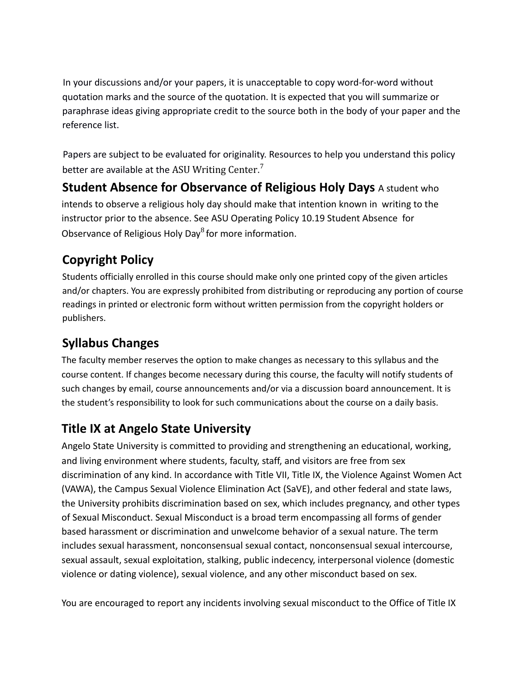In your discussions and/or your papers, it is unacceptable to copy word-for-word without quotation marks and the source of the quotation. It is expected that you will summarize or paraphrase ideas giving appropriate credit to the source both in the body of your paper and the reference list.

Papers are subject to be evaluated for originality. Resources to help you understand this policy better are available at the ASU Writing Center.<sup>7</sup>

**Student Absence for Observance of Religious Holy Days** A student who intends to observe a religious holy day should make that intention known in writing to the instructor prior to the absence. See ASU Operating Policy 10.19 Student Absence for Observance of Religious Holy Day<sup>8</sup> for more information.

## **Copyright Policy**

Students officially enrolled in this course should make only one printed copy of the given articles and/or chapters. You are expressly prohibited from distributing or reproducing any portion of course readings in printed or electronic form without written permission from the copyright holders or publishers.

## **Syllabus Changes**

The faculty member reserves the option to make changes as necessary to this syllabus and the course content. If changes become necessary during this course, the faculty will notify students of such changes by email, course announcements and/or via a discussion board announcement. It is the student's responsibility to look for such communications about the course on a daily basis.

## **Title IX at Angelo State University**

Angelo State University is committed to providing and strengthening an educational, working, and living environment where students, faculty, staff, and visitors are free from sex discrimination of any kind. In accordance with Title VII, Title IX, the Violence Against Women Act (VAWA), the Campus Sexual Violence Elimination Act (SaVE), and other federal and state laws, the University prohibits discrimination based on sex, which includes pregnancy, and other types of Sexual Misconduct. Sexual Misconduct is a broad term encompassing all forms of gender based harassment or discrimination and unwelcome behavior of a sexual nature. The term includes sexual harassment, nonconsensual sexual contact, nonconsensual sexual intercourse, sexual assault, sexual exploitation, stalking, public indecency, interpersonal violence (domestic violence or dating violence), sexual violence, and any other misconduct based on sex.

You are encouraged to report any incidents involving sexual misconduct to the Office of Title IX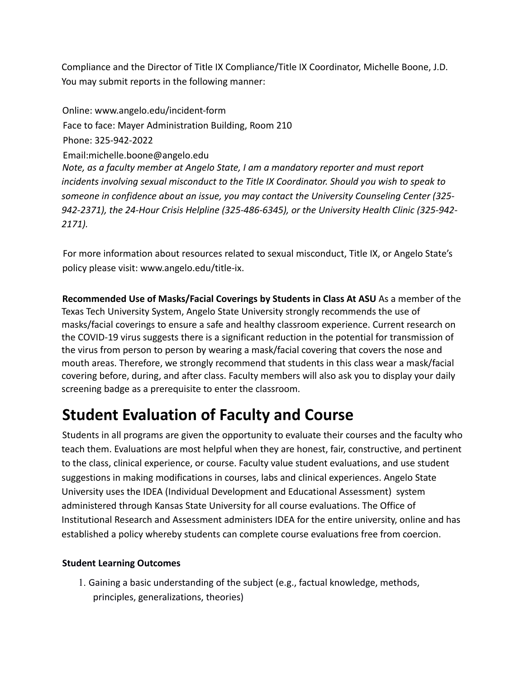Compliance and the Director of Title IX Compliance/Title IX Coordinator, Michelle Boone, J.D. You may submit reports in the following manner:

Online: www.angelo.edu/incident-form Face to face: Mayer Administration Building, Room 210 Phone: 325-942-2022 Email:michelle.boone@angelo.edu *Note, as a faculty member at Angelo State, I am a mandatory reporter and must report incidents involving sexual misconduct to the Title IX Coordinator. Should you wish to speak to someone in confidence about an issue, you may contact the University Counseling Center (325- 942-2371), the 24-Hour Crisis Helpline (325-486-6345), or the University Health Clinic (325-942- 2171).*

For more information about resources related to sexual misconduct, Title IX, or Angelo State's policy please visit: www.angelo.edu/title-ix.

**Recommended Use of Masks/Facial Coverings by Students in Class At ASU** As a member of the Texas Tech University System, Angelo State University strongly recommends the use of masks/facial coverings to ensure a safe and healthy classroom experience. Current research on the COVID-19 virus suggests there is a significant reduction in the potential for transmission of the virus from person to person by wearing a mask/facial covering that covers the nose and mouth areas. Therefore, we strongly recommend that students in this class wear a mask/facial covering before, during, and after class. Faculty members will also ask you to display your daily screening badge as a prerequisite to enter the classroom.

## **Student Evaluation of Faculty and Course**

Students in all programs are given the opportunity to evaluate their courses and the faculty who teach them. Evaluations are most helpful when they are honest, fair, constructive, and pertinent to the class, clinical experience, or course. Faculty value student evaluations, and use student suggestions in making modifications in courses, labs and clinical experiences. Angelo State University uses the IDEA (Individual Development and Educational Assessment) system administered through Kansas State University for all course evaluations. The Office of Institutional Research and Assessment administers IDEA for the entire university, online and has established a policy whereby students can complete course evaluations free from coercion.

#### **Student Learning Outcomes**

1. Gaining a basic understanding of the subject (e.g., factual knowledge, methods, principles, generalizations, theories)